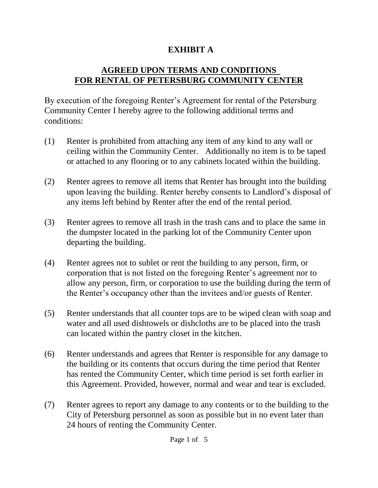## **EXHIBIT A**

## **AGREED UPON TERMS AND CONDITIONS FOR RENTAL OF PETERSBURG COMMUNITY CENTER**

By execution of the foregoing Renter's Agreement for rental of the Petersburg Community Center I hereby agree to the following additional terms and conditions:

- (1) Renter is prohibited from attaching any item of any kind to any wall or ceiling within the Community Center. Additionally no item is to be taped or attached to any flooring or to any cabinets located within the building.
- (2) Renter agrees to remove all items that Renter has brought into the building upon leaving the building. Renter hereby consents to Landlord's disposal of any items left behind by Renter after the end of the rental period.
- (3) Renter agrees to remove all trash in the trash cans and to place the same in the dumpster located in the parking lot of the Community Center upon departing the building.
- (4) Renter agrees not to sublet or rent the building to any person, firm, or corporation that is not listed on the foregoing Renter's agreement nor to allow any person, firm, or corporation to use the building during the term of the Renter's occupancy other than the invitees and/or guests of Renter.
- (5) Renter understands that all counter tops are to be wiped clean with soap and water and all used dishtowels or dishcloths are to be placed into the trash can located within the pantry closet in the kitchen.
- (6) Renter understands and agrees that Renter is responsible for any damage to the building or its contents that occurs during the time period that Renter has rented the Community Center, which time period is set forth earlier in this Agreement. Provided, however, normal and wear and tear is excluded.
- (7) Renter agrees to report any damage to any contents or to the building to the City of Petersburg personnel as soon as possible but in no event later than 24 hours of renting the Community Center.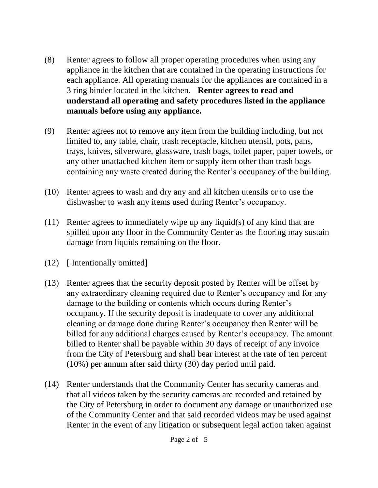- (8) Renter agrees to follow all proper operating procedures when using any appliance in the kitchen that are contained in the operating instructions for each appliance. All operating manuals for the appliances are contained in a 3 ring binder located in the kitchen. **Renter agrees to read and understand all operating and safety procedures listed in the appliance manuals before using any appliance.**
- (9) Renter agrees not to remove any item from the building including, but not limited to, any table, chair, trash receptacle, kitchen utensil, pots, pans, trays, knives, silverware, glassware, trash bags, toilet paper, paper towels, or any other unattached kitchen item or supply item other than trash bags containing any waste created during the Renter's occupancy of the building.
- (10) Renter agrees to wash and dry any and all kitchen utensils or to use the dishwasher to wash any items used during Renter's occupancy.
- (11) Renter agrees to immediately wipe up any liquid(s) of any kind that are spilled upon any floor in the Community Center as the flooring may sustain damage from liquids remaining on the floor.
- (12) [ Intentionally omitted]
- (13) Renter agrees that the security deposit posted by Renter will be offset by any extraordinary cleaning required due to Renter's occupancy and for any damage to the building or contents which occurs during Renter's occupancy. If the security deposit is inadequate to cover any additional cleaning or damage done during Renter's occupancy then Renter will be billed for any additional charges caused by Renter's occupancy. The amount billed to Renter shall be payable within 30 days of receipt of any invoice from the City of Petersburg and shall bear interest at the rate of ten percent (10%) per annum after said thirty (30) day period until paid.
- (14) Renter understands that the Community Center has security cameras and that all videos taken by the security cameras are recorded and retained by the City of Petersburg in order to document any damage or unauthorized use of the Community Center and that said recorded videos may be used against Renter in the event of any litigation or subsequent legal action taken against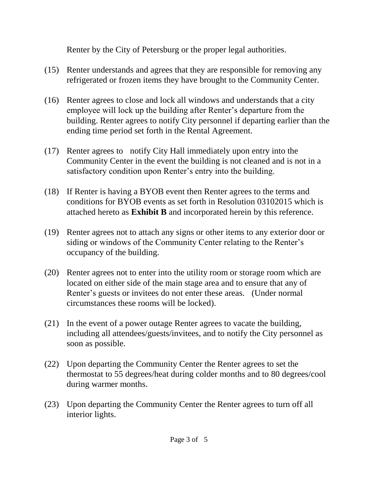Renter by the City of Petersburg or the proper legal authorities.

- (15) Renter understands and agrees that they are responsible for removing any refrigerated or frozen items they have brought to the Community Center.
- (16) Renter agrees to close and lock all windows and understands that a city employee will lock up the building after Renter's departure from the building. Renter agrees to notify City personnel if departing earlier than the ending time period set forth in the Rental Agreement.
- (17) Renter agrees to notify City Hall immediately upon entry into the Community Center in the event the building is not cleaned and is not in a satisfactory condition upon Renter's entry into the building.
- (18) If Renter is having a BYOB event then Renter agrees to the terms and conditions for BYOB events as set forth in Resolution 03102015 which is attached hereto as **Exhibit B** and incorporated herein by this reference.
- (19) Renter agrees not to attach any signs or other items to any exterior door or siding or windows of the Community Center relating to the Renter's occupancy of the building.
- (20) Renter agrees not to enter into the utility room or storage room which are located on either side of the main stage area and to ensure that any of Renter's guests or invitees do not enter these areas. (Under normal circumstances these rooms will be locked).
- (21) In the event of a power outage Renter agrees to vacate the building, including all attendees/guests/invitees, and to notify the City personnel as soon as possible.
- (22) Upon departing the Community Center the Renter agrees to set the thermostat to 55 degrees/heat during colder months and to 80 degrees/cool during warmer months.
- (23) Upon departing the Community Center the Renter agrees to turn off all interior lights.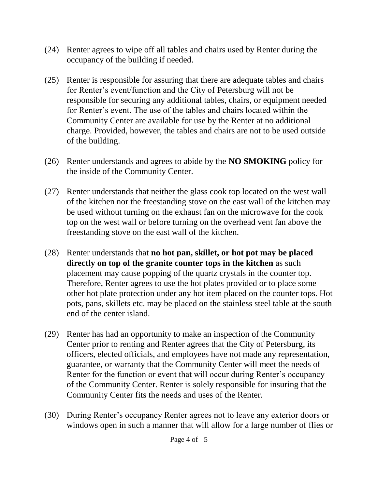- (24) Renter agrees to wipe off all tables and chairs used by Renter during the occupancy of the building if needed.
- (25) Renter is responsible for assuring that there are adequate tables and chairs for Renter's event/function and the City of Petersburg will not be responsible for securing any additional tables, chairs, or equipment needed for Renter's event. The use of the tables and chairs located within the Community Center are available for use by the Renter at no additional charge. Provided, however, the tables and chairs are not to be used outside of the building.
- (26) Renter understands and agrees to abide by the **NO SMOKING** policy for the inside of the Community Center.
- (27) Renter understands that neither the glass cook top located on the west wall of the kitchen nor the freestanding stove on the east wall of the kitchen may be used without turning on the exhaust fan on the microwave for the cook top on the west wall or before turning on the overhead vent fan above the freestanding stove on the east wall of the kitchen.
- (28) Renter understands that **no hot pan, skillet, or hot pot may be placed directly on top of the granite counter tops in the kitchen** as such placement may cause popping of the quartz crystals in the counter top. Therefore, Renter agrees to use the hot plates provided or to place some other hot plate protection under any hot item placed on the counter tops. Hot pots, pans, skillets etc. may be placed on the stainless steel table at the south end of the center island.
- (29) Renter has had an opportunity to make an inspection of the Community Center prior to renting and Renter agrees that the City of Petersburg, its officers, elected officials, and employees have not made any representation, guarantee, or warranty that the Community Center will meet the needs of Renter for the function or event that will occur during Renter's occupancy of the Community Center. Renter is solely responsible for insuring that the Community Center fits the needs and uses of the Renter.
- (30) During Renter's occupancy Renter agrees not to leave any exterior doors or windows open in such a manner that will allow for a large number of flies or